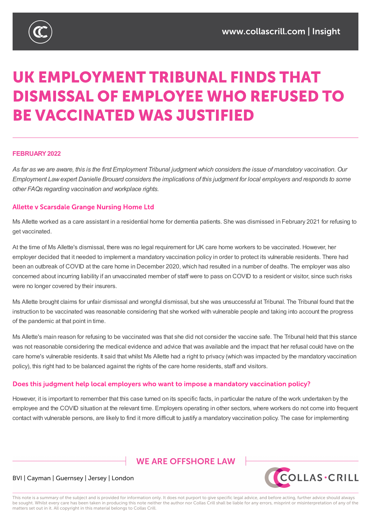

# UK EMPLOYMENT TRIBUNAL FINDS THAT **DISMISSAL OF EMPLOYEE WHO REFUSED TO BE VACCINATED WAS JUSTIFIED**

#### **FEBRUARY2022**

As far as we are aware, this is the first Employment Tribunal judgment which considers the issue of mandatory vaccination. Our Employment Law expert Danielle Brouard considers the implications of this judgment for local employers and responds to some *other FAQs regarding vaccination and workplace rights.*

#### **Allette v Scarsdale Grange Nursing Home Ltd**

Ms Allette worked as a care assistant in a residential home for dementia patients. She was dismissed in February 2021 for refusing to get vaccinated.

At the time of Ms Allette's dismissal, there was no legal requirement for UK care home workers to be vaccinated. However, her employer decided that it needed to implement a mandatory vaccination policy in order to protect its vulnerable residents. There had been an outbreak of COVID at the care home in December 2020, which had resulted in a number of deaths. The employer was also concerned about incurring liability if an unvaccinated member of staff were to pass on COVID to a resident or visitor, since such risks were no longer covered by their insurers.

Ms Allette brought claims for unfair dismissal and wrongful dismissal, but she was unsuccessful at Tribunal. The Tribunal found that the instruction to be vaccinated was reasonable considering that she worked with vulnerable people and taking into account the progress of the pandemic at that point in time.

Ms Allette's main reason for refusing to be vaccinated was that she did not consider the vaccine safe. The Tribunal held that this stance was not reasonable considering the medical evidence and advice that was available and the impact that her refusal could have on the care home's vulnerable residents. It said that whilst Ms Allette had a right to privacy (which was impacted by the mandatory vaccination policy), this right had to be balanced against the rights of the care home residents, staff and visitors.

#### Does this judgment help local employers who want to impose a mandatory vaccination policy?

However, it is important to remember that this case turned on its specific facts, in particular the nature of the work undertaken by the employee and the COVID situation at the relevant time. Employers operating in other sectors, where workers do not come into frequent contact with vulnerable persons, are likely to find it more difficult to justify a mandatory vaccination policy. The case for implementing

# **WE ARE OFFSHORE I AW**



#### BVI | Cayman | Guernsey | Jersey | London

This note is a summary of the subject and is provided for information only. It does not purport to give specific legal advice, and before acting, further advice should always be sought. Whilst every care has been taken in producing this note neither the author nor Collas Crill shall be liable for any errors, misprint or misinterpretation of any of the matters set out in it. All copyright in this material belongs to Collas Crill.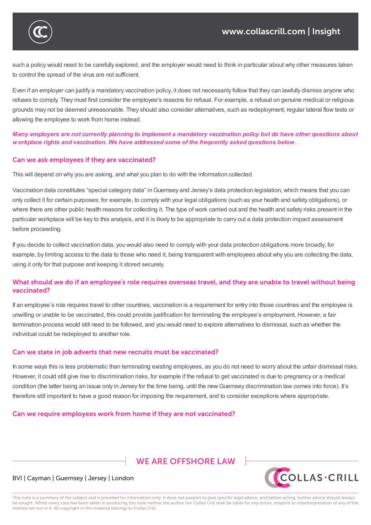

such a policy would need to be carefully explored, and the employer would need to think in particular about why other measures taken to control the spread of the virus are not sufficient.

contact with vulnerable persons, are likely to find it more difficult to justify a mandatory vaccination policy. The case for implementing

Even if an employer can justify a mandatory vaccination policy, it does not necessarily follow that they can lawfully dismiss anyone who refuses to comply. They must first consider the employee's reasons for refusal. For example, a refusal on genuine medical or religious grounds may not be deemed unreasonable. They should also consider alternatives, such as redeployment, regular lateral flow tests or allowing the employee to work from home instead.

Many employers are not currently planning to implement a mandatory vaccination policy but do have other questions about *workplace rights and vaccination. We have addressed some of the frequently asked questions below.*

## Can we ask employees if they are vaccinated?

This will depend on why you are asking, and what you plan to do with the information collected.

Vaccination data constitutes "special category data" inGuernsey and Jersey's data protection legislation, which means that you can only collect it for certain purposes; for example, to comply with your legal obligations (such as your health and safety obligations), or where there are other public health reasons for collecting it. The type of work carried out and the health and safety risks present in the particular workplace will be key to this analysis, and it is likely to be appropriate to carry out a data protection impact assessment before proceeding.

If you decide to collect vaccination data, you would also need to comply with your data protection obligations more broadly; for example, by limiting access to the data to those who need it, being transparent with employees about why you are collecting the data, using it only for that purpose and keeping it stored securely.

# What should we do if an employee's role requires overseas travel, and they are unable to travel without being vaccinated?

If an employee's role requires travel to other countries, vaccination is a requirement for entry into those countries and the employee is unwilling or unable to be vaccinated, this could provide justification for terminating the employee's employment. However, a fair termination process would still need to be followed, and you would need to explore alternatives to dismissal, such as whether the individual could be redeployed to another role.

## Can we state in job adverts that new recruits must be vaccinated?

In some ways this is less problematic than terminating existing employees, as you do not need to worry about the unfair dismissal risks. However, it could still give rise to discrimination risks, for example if the refusal to get vaccinated is due to pregnancy or a medical condition (the latter being an issue only in Jersey for the time being, until the new Guernsey discrimination law comes into force). It's therefore still important to have a good reason for imposing the requirement, and to consider exceptions where appropriate.

## Can we require employees work from home if they are not vaccinated?

# **WE ARE OFFSHORE I AW**



#### BVI | Cayman | Guernsey | Jersey | London

This note is a summary of the subject and is provided for information only. It does not purport to give specific legal advice, and before acting, further advice should always be sought. Whilst every care has been taken in producing this note neither the author nor Collas Crill shall be liable for any errors, misprint or misinterpretation of any of the matters set out in it. All copyright in this material belongs to Collas Crill.